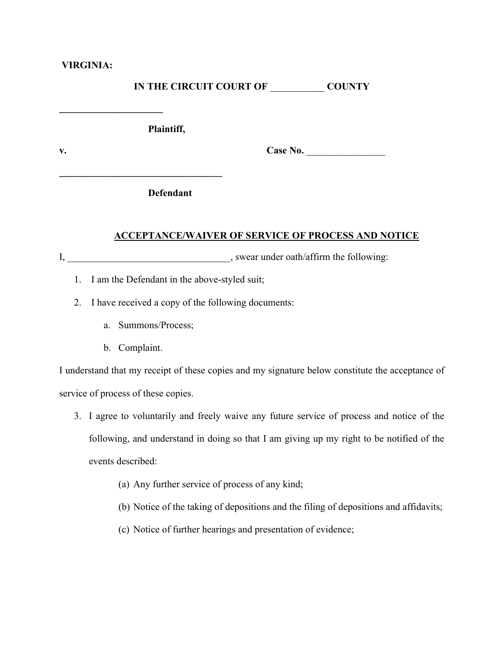### **VIRGINIA:**

**\_\_\_\_\_\_\_\_\_\_\_\_\_\_\_\_\_\_\_\_\_**

## **IN THE CIRCUIT COURT OF** \_\_\_\_\_\_\_\_\_\_\_ **COUNTY**

**Plaintiff,**

v. Case No.

**Defendant**

**\_\_\_\_\_\_\_\_\_\_\_\_\_\_\_\_\_\_\_\_\_\_\_\_\_\_\_\_\_\_\_\_\_**

#### **ACCEPTANCE/WAIVER OF SERVICE OF PROCESS AND NOTICE**

I, swear under oath/affirm the following:

- 1. I am the Defendant in the above-styled suit;
- 2. I have received a copy of the following documents:
	- a. Summons/Process;
	- b. Complaint.

I understand that my receipt of these copies and my signature below constitute the acceptance of service of process of these copies.

- 3. I agree to voluntarily and freely waive any future service of process and notice of the following, and understand in doing so that I am giving up my right to be notified of the events described:
	- (a) Any further service of process of any kind;
	- (b) Notice of the taking of depositions and the filing of depositions and affidavits;
	- (c) Notice of further hearings and presentation of evidence;